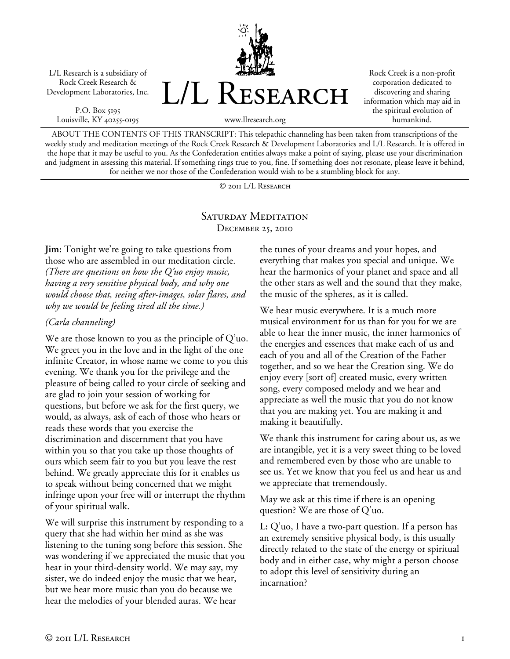L/L Research is a subsidiary of Rock Creek Research & Development Laboratories, Inc.

P.O. Box 5195 Louisville, KY 40255-0195



Rock Creek is a non-profit corporation dedicated to discovering and sharing information which may aid in the spiritual evolution of humankind.

ABOUT THE CONTENTS OF THIS TRANSCRIPT: This telepathic channeling has been taken from transcriptions of the weekly study and meditation meetings of the Rock Creek Research & Development Laboratories and L/L Research. It is offered in the hope that it may be useful to you. As the Confederation entities always make a point of saying, please use your discrimination and judgment in assessing this material. If something rings true to you, fine. If something does not resonate, please leave it behind, for neither we nor those of the Confederation would wish to be a stumbling block for any.

© 2011 L/L Research

## SATURDAY MEDITATION December 25, 2010

**Jim:** Tonight we're going to take questions from those who are assembled in our meditation circle. *(There are questions on how the Q'uo enjoy music, having a very sensitive physical body, and why one would choose that, seeing after-images, solar flares, and why we would be feeling tired all the time.)*

#### *(Carla channeling)*

We are those known to you as the principle of Q'uo. We greet you in the love and in the light of the one infinite Creator, in whose name we come to you this evening. We thank you for the privilege and the pleasure of being called to your circle of seeking and are glad to join your session of working for questions, but before we ask for the first query, we would, as always, ask of each of those who hears or reads these words that you exercise the discrimination and discernment that you have within you so that you take up those thoughts of ours which seem fair to you but you leave the rest behind. We greatly appreciate this for it enables us to speak without being concerned that we might infringe upon your free will or interrupt the rhythm of your spiritual walk.

We will surprise this instrument by responding to a query that she had within her mind as she was listening to the tuning song before this session. She was wondering if we appreciated the music that you hear in your third-density world. We may say, my sister, we do indeed enjoy the music that we hear, but we hear more music than you do because we hear the melodies of your blended auras. We hear

the tunes of your dreams and your hopes, and everything that makes you special and unique. We hear the harmonics of your planet and space and all the other stars as well and the sound that they make, the music of the spheres, as it is called.

We hear music everywhere. It is a much more musical environment for us than for you for we are able to hear the inner music, the inner harmonics of the energies and essences that make each of us and each of you and all of the Creation of the Father together, and so we hear the Creation sing. We do enjoy every [sort of] created music, every written song, every composed melody and we hear and appreciate as well the music that you do not know that you are making yet. You are making it and making it beautifully.

We thank this instrument for caring about us, as we are intangible, yet it is a very sweet thing to be loved and remembered even by those who are unable to see us. Yet we know that you feel us and hear us and we appreciate that tremendously.

May we ask at this time if there is an opening question? We are those of Q'uo.

**L:** Q'uo, I have a two-part question. If a person has an extremely sensitive physical body, is this usually directly related to the state of the energy or spiritual body and in either case, why might a person choose to adopt this level of sensitivity during an incarnation?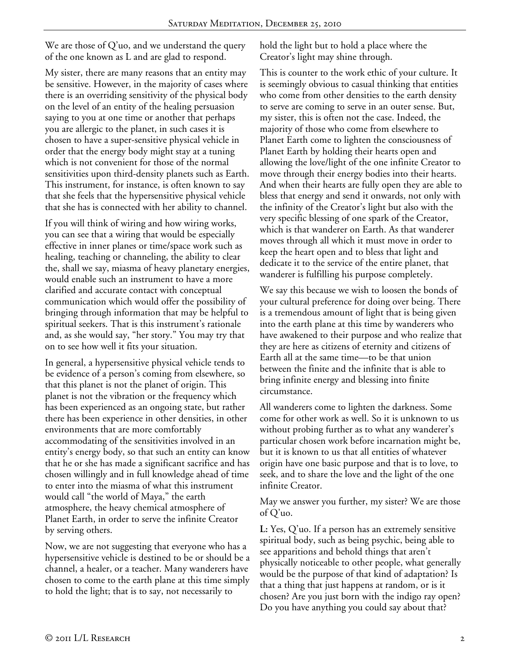We are those of Q'uo, and we understand the query of the one known as L and are glad to respond.

My sister, there are many reasons that an entity may be sensitive. However, in the majority of cases where there is an overriding sensitivity of the physical body on the level of an entity of the healing persuasion saying to you at one time or another that perhaps you are allergic to the planet, in such cases it is chosen to have a super-sensitive physical vehicle in order that the energy body might stay at a tuning which is not convenient for those of the normal sensitivities upon third-density planets such as Earth. This instrument, for instance, is often known to say that she feels that the hypersensitive physical vehicle that she has is connected with her ability to channel.

If you will think of wiring and how wiring works, you can see that a wiring that would be especially effective in inner planes or time/space work such as healing, teaching or channeling, the ability to clear the, shall we say, miasma of heavy planetary energies, would enable such an instrument to have a more clarified and accurate contact with conceptual communication which would offer the possibility of bringing through information that may be helpful to spiritual seekers. That is this instrument's rationale and, as she would say, "her story." You may try that on to see how well it fits your situation.

In general, a hypersensitive physical vehicle tends to be evidence of a person's coming from elsewhere, so that this planet is not the planet of origin. This planet is not the vibration or the frequency which has been experienced as an ongoing state, but rather there has been experience in other densities, in other environments that are more comfortably accommodating of the sensitivities involved in an entity's energy body, so that such an entity can know that he or she has made a significant sacrifice and has chosen willingly and in full knowledge ahead of time to enter into the miasma of what this instrument would call "the world of Maya," the earth atmosphere, the heavy chemical atmosphere of Planet Earth, in order to serve the infinite Creator by serving others.

Now, we are not suggesting that everyone who has a hypersensitive vehicle is destined to be or should be a channel, a healer, or a teacher. Many wanderers have chosen to come to the earth plane at this time simply to hold the light; that is to say, not necessarily to

hold the light but to hold a place where the Creator's light may shine through.

This is counter to the work ethic of your culture. It is seemingly obvious to casual thinking that entities who come from other densities to the earth density to serve are coming to serve in an outer sense. But, my sister, this is often not the case. Indeed, the majority of those who come from elsewhere to Planet Earth come to lighten the consciousness of Planet Earth by holding their hearts open and allowing the love/light of the one infinite Creator to move through their energy bodies into their hearts. And when their hearts are fully open they are able to bless that energy and send it onwards, not only with the infinity of the Creator's light but also with the very specific blessing of one spark of the Creator, which is that wanderer on Earth. As that wanderer moves through all which it must move in order to keep the heart open and to bless that light and dedicate it to the service of the entire planet, that wanderer is fulfilling his purpose completely.

We say this because we wish to loosen the bonds of your cultural preference for doing over being. There is a tremendous amount of light that is being given into the earth plane at this time by wanderers who have awakened to their purpose and who realize that they are here as citizens of eternity and citizens of Earth all at the same time—to be that union between the finite and the infinite that is able to bring infinite energy and blessing into finite circumstance.

All wanderers come to lighten the darkness. Some come for other work as well. So it is unknown to us without probing further as to what any wanderer's particular chosen work before incarnation might be, but it is known to us that all entities of whatever origin have one basic purpose and that is to love, to seek, and to share the love and the light of the one infinite Creator.

May we answer you further, my sister? We are those of Q'uo.

**L:** Yes, Q'uo. If a person has an extremely sensitive spiritual body, such as being psychic, being able to see apparitions and behold things that aren't physically noticeable to other people, what generally would be the purpose of that kind of adaptation? Is that a thing that just happens at random, or is it chosen? Are you just born with the indigo ray open? Do you have anything you could say about that?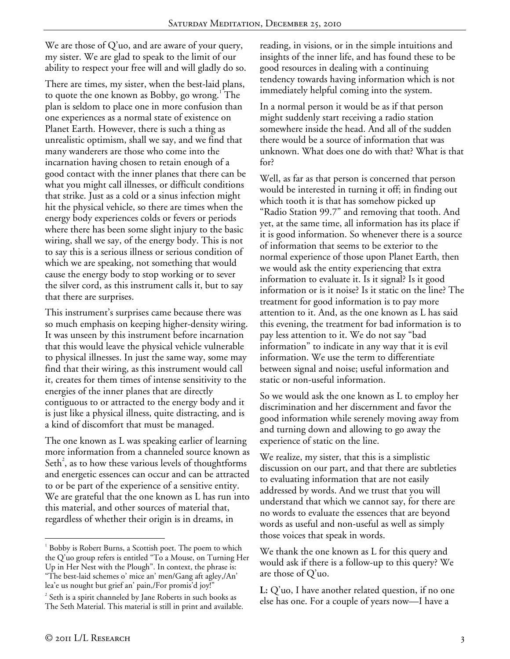We are those of Q'uo, and are aware of your query, my sister. We are glad to speak to the limit of our ability to respect your free will and will gladly do so.

There are times, my sister, when the best-laid plans, to quote the one known as Bobby, go wrong.<sup>17</sup>The plan is seldom to place one in more confusion than one experiences as a normal state of existence on Planet Earth. However, there is such a thing as unrealistic optimism, shall we say, and we find that many wanderers are those who come into the incarnation having chosen to retain enough of a good contact with the inner planes that there can be what you might call illnesses, or difficult conditions that strike. Just as a cold or a sinus infection might hit the physical vehicle, so there are times when the energy body experiences colds or fevers or periods where there has been some slight injury to the basic wiring, shall we say, of the energy body. This is not to say this is a serious illness or serious condition of which we are speaking, not something that would cause the energy body to stop working or to sever the silver cord, as this instrument calls it, but to say that there are surprises.

This instrument's surprises came because there was so much emphasis on keeping higher-density wiring. It was unseen by this instrument before incarnation that this would leave the physical vehicle vulnerable to physical illnesses. In just the same way, some may find that their wiring, as this instrument would call it, creates for them times of intense sensitivity to the energies of the inner planes that are directly contiguous to or attracted to the energy body and it is just like a physical illness, quite distracting, and is a kind of discomfort that must be managed.

The one known as L was speaking earlier of learning more information from a channeled source known as Seth<sup>2</sup>, as to how these various levels of thoughtforms and energetic essences can occur and can be attracted to or be part of the experience of a sensitive entity. We are grateful that the one known as L has run into this material, and other sources of material that, regardless of whether their origin is in dreams, in

reading, in visions, or in the simple intuitions and insights of the inner life, and has found these to be good resources in dealing with a continuing tendency towards having information which is not immediately helpful coming into the system.

In a normal person it would be as if that person might suddenly start receiving a radio station somewhere inside the head. And all of the sudden there would be a source of information that was unknown. What does one do with that? What is that for?

Well, as far as that person is concerned that person would be interested in turning it off; in finding out which tooth it is that has somehow picked up "Radio Station 99.7" and removing that tooth. And yet, at the same time, all information has its place if it is good information. So whenever there is a source of information that seems to be exterior to the normal experience of those upon Planet Earth, then we would ask the entity experiencing that extra information to evaluate it. Is it signal? Is it good information or is it noise? Is it static on the line? The treatment for good information is to pay more attention to it. And, as the one known as L has said this evening, the treatment for bad information is to pay less attention to it. We do not say "bad information" to indicate in any way that it is evil information. We use the term to differentiate between signal and noise; useful information and static or non-useful information.

So we would ask the one known as L to employ her discrimination and her discernment and favor the good information while serenely moving away from and turning down and allowing to go away the experience of static on the line.

We realize, my sister, that this is a simplistic discussion on our part, and that there are subtleties to evaluating information that are not easily addressed by words. And we trust that you will understand that which we cannot say, for there are no words to evaluate the essences that are beyond words as useful and non-useful as well as simply those voices that speak in words.

We thank the one known as L for this query and would ask if there is a follow-up to this query? We are those of Q'uo.

l

<sup>&</sup>lt;sup>1</sup> Bobby is Robert Burns, a Scottish poet. The poem to which the Q'uo group refers is entitled "To a Mouse, on Turning Her Up in Her Nest with the Plough". In context, the phrase is: "The best-laid schemes o' mice an' men/Gang aft agley,/An' lea'e us nought but grief an' pain,/For promis'd joy!"

 $2^{2}$  Seth is a spirit channeled by Jane Roberts in such books as The Seth Material. This material is still in print and available.

**L:** Q'uo, I have another related question, if no one else has one. For a couple of years now—I have a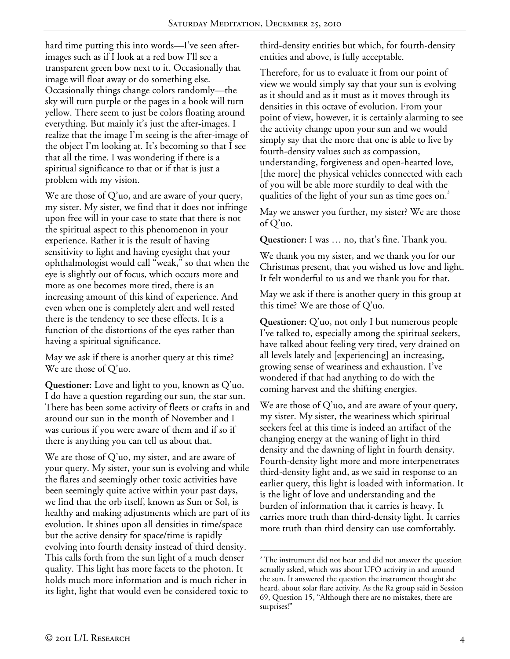hard time putting this into words—I've seen afterimages such as if I look at a red bow I'll see a transparent green bow next to it. Occasionally that image will float away or do something else. Occasionally things change colors randomly—the sky will turn purple or the pages in a book will turn yellow. There seem to just be colors floating around everything. But mainly it's just the after-images. I realize that the image I'm seeing is the after-image of the object I'm looking at. It's becoming so that I see that all the time. I was wondering if there is a spiritual significance to that or if that is just a problem with my vision.

We are those of Q'uo, and are aware of your query, my sister. My sister, we find that it does not infringe upon free will in your case to state that there is not the spiritual aspect to this phenomenon in your experience. Rather it is the result of having sensitivity to light and having eyesight that your ophthalmologist would call "weak," so that when the eye is slightly out of focus, which occurs more and more as one becomes more tired, there is an increasing amount of this kind of experience. And even when one is completely alert and well rested there is the tendency to see these effects. It is a function of the distortions of the eyes rather than having a spiritual significance.

May we ask if there is another query at this time? We are those of Q'uo.

**Questioner:** Love and light to you, known as Q'uo. I do have a question regarding our sun, the star sun. There has been some activity of fleets or crafts in and around our sun in the month of November and I was curious if you were aware of them and if so if there is anything you can tell us about that.

We are those of Q'uo, my sister, and are aware of your query. My sister, your sun is evolving and while the flares and seemingly other toxic activities have been seemingly quite active within your past days, we find that the orb itself, known as Sun or Sol, is healthy and making adjustments which are part of its evolution. It shines upon all densities in time/space but the active density for space/time is rapidly evolving into fourth density instead of third density. This calls forth from the sun light of a much denser quality. This light has more facets to the photon. It holds much more information and is much richer in its light, light that would even be considered toxic to

third-density entities but which, for fourth-density entities and above, is fully acceptable.

Therefore, for us to evaluate it from our point of view we would simply say that your sun is evolving as it should and as it must as it moves through its densities in this octave of evolution. From your point of view, however, it is certainly alarming to see the activity change upon your sun and we would simply say that the more that one is able to live by fourth-density values such as compassion, understanding, forgiveness and open-hearted love, [the more] the physical vehicles connected with each of you will be able more sturdily to deal with the qualities of the light of your sun as time goes on.<sup>3</sup>

May we answer you further, my sister? We are those of Q'uo.

**Questioner:** I was … no, that's fine. Thank you.

We thank you my sister, and we thank you for our Christmas present, that you wished us love and light. It felt wonderful to us and we thank you for that.

May we ask if there is another query in this group at this time? We are those of Q'uo.

**Questioner:** Q'uo, not only I but numerous people I've talked to, especially among the spiritual seekers, have talked about feeling very tired, very drained on all levels lately and [experiencing] an increasing, growing sense of weariness and exhaustion. I've wondered if that had anything to do with the coming harvest and the shifting energies.

We are those of  $Q'$ uo, and are aware of your query, my sister. My sister, the weariness which spiritual seekers feel at this time is indeed an artifact of the changing energy at the waning of light in third density and the dawning of light in fourth density. Fourth-density light more and more interpenetrates third-density light and, as we said in response to an earlier query, this light is loaded with information. It is the light of love and understanding and the burden of information that it carries is heavy. It carries more truth than third-density light. It carries more truth than third density can use comfortably.

<sup>-</sup><sup>3</sup> The instrument did not hear and did not answer the question actually asked, which was about UFO activity in and around the sun. It answered the question the instrument thought she heard, about solar flare activity. As the Ra group said in Session 69, Question 15, "Although there are no mistakes, there are surprises!"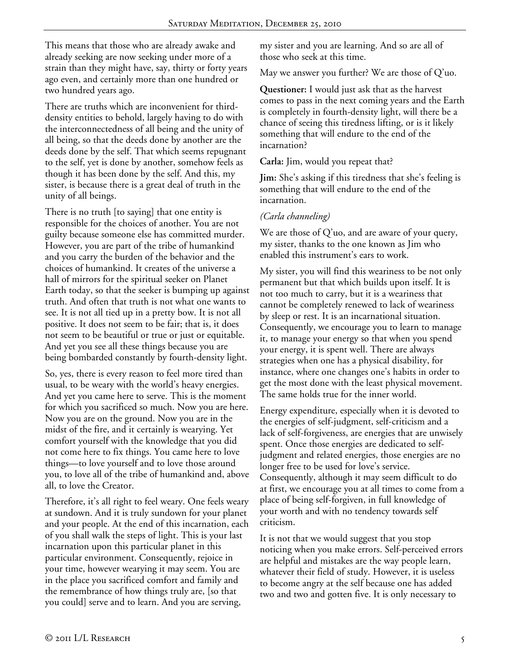This means that those who are already awake and already seeking are now seeking under more of a strain than they might have, say, thirty or forty years ago even, and certainly more than one hundred or two hundred years ago.

There are truths which are inconvenient for thirddensity entities to behold, largely having to do with the interconnectedness of all being and the unity of all being, so that the deeds done by another are the deeds done by the self. That which seems repugnant to the self, yet is done by another, somehow feels as though it has been done by the self. And this, my sister, is because there is a great deal of truth in the unity of all beings.

There is no truth [to saying] that one entity is responsible for the choices of another. You are not guilty because someone else has committed murder. However, you are part of the tribe of humankind and you carry the burden of the behavior and the choices of humankind. It creates of the universe a hall of mirrors for the spiritual seeker on Planet Earth today, so that the seeker is bumping up against truth. And often that truth is not what one wants to see. It is not all tied up in a pretty bow. It is not all positive. It does not seem to be fair; that is, it does not seem to be beautiful or true or just or equitable. And yet you see all these things because you are being bombarded constantly by fourth-density light.

So, yes, there is every reason to feel more tired than usual, to be weary with the world's heavy energies. And yet you came here to serve. This is the moment for which you sacrificed so much. Now you are here. Now you are on the ground. Now you are in the midst of the fire, and it certainly is wearying. Yet comfort yourself with the knowledge that you did not come here to fix things. You came here to love things—to love yourself and to love those around you, to love all of the tribe of humankind and, above all, to love the Creator.

Therefore, it's all right to feel weary. One feels weary at sundown. And it is truly sundown for your planet and your people. At the end of this incarnation, each of you shall walk the steps of light. This is your last incarnation upon this particular planet in this particular environment. Consequently, rejoice in your time, however wearying it may seem. You are in the place you sacrificed comfort and family and the remembrance of how things truly are, [so that you could] serve and to learn. And you are serving,

my sister and you are learning. And so are all of those who seek at this time.

May we answer you further? We are those of Q'uo.

**Questioner:** I would just ask that as the harvest comes to pass in the next coming years and the Earth is completely in fourth-density light, will there be a chance of seeing this tiredness lifting, or is it likely something that will endure to the end of the incarnation?

**Carla:** Jim, would you repeat that?

**Jim:** She's asking if this tiredness that she's feeling is something that will endure to the end of the incarnation.

## *(Carla channeling)*

We are those of Q'uo, and are aware of your query, my sister, thanks to the one known as Jim who enabled this instrument's ears to work.

My sister, you will find this weariness to be not only permanent but that which builds upon itself. It is not too much to carry, but it is a weariness that cannot be completely renewed to lack of weariness by sleep or rest. It is an incarnational situation. Consequently, we encourage you to learn to manage it, to manage your energy so that when you spend your energy, it is spent well. There are always strategies when one has a physical disability, for instance, where one changes one's habits in order to get the most done with the least physical movement. The same holds true for the inner world.

Energy expenditure, especially when it is devoted to the energies of self-judgment, self-criticism and a lack of self-forgiveness, are energies that are unwisely spent. Once those energies are dedicated to selfjudgment and related energies, those energies are no longer free to be used for love's service. Consequently, although it may seem difficult to do at first, we encourage you at all times to come from a place of being self-forgiven, in full knowledge of your worth and with no tendency towards self criticism.

It is not that we would suggest that you stop noticing when you make errors. Self-perceived errors are helpful and mistakes are the way people learn, whatever their field of study. However, it is useless to become angry at the self because one has added two and two and gotten five. It is only necessary to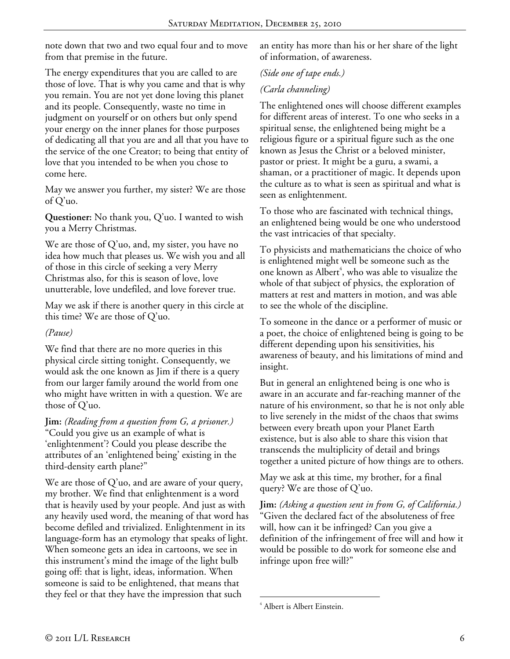note down that two and two equal four and to move from that premise in the future.

The energy expenditures that you are called to are those of love. That is why you came and that is why you remain. You are not yet done loving this planet and its people. Consequently, waste no time in judgment on yourself or on others but only spend your energy on the inner planes for those purposes of dedicating all that you are and all that you have to the service of the one Creator; to being that entity of love that you intended to be when you chose to come here.

May we answer you further, my sister? We are those of Q'uo.

**Questioner:** No thank you, Q'uo. I wanted to wish you a Merry Christmas.

We are those of Q'uo, and, my sister, you have no idea how much that pleases us. We wish you and all of those in this circle of seeking a very Merry Christmas also, for this is season of love, love unutterable, love undefiled, and love forever true.

May we ask if there is another query in this circle at this time? We are those of Q'uo.

### *(Pause)*

We find that there are no more queries in this physical circle sitting tonight. Consequently, we would ask the one known as Jim if there is a query from our larger family around the world from one who might have written in with a question. We are those of Q'uo.

**Jim:** *(Reading from a question from G, a prisoner.)* "Could you give us an example of what is 'enlightenment'? Could you please describe the attributes of an 'enlightened being' existing in the third-density earth plane?"

We are those of Q'uo, and are aware of your query, my brother. We find that enlightenment is a word that is heavily used by your people. And just as with any heavily used word, the meaning of that word has become defiled and trivialized. Enlightenment in its language-form has an etymology that speaks of light. When someone gets an idea in cartoons, we see in this instrument's mind the image of the light bulb going off: that is light, ideas, information. When someone is said to be enlightened, that means that they feel or that they have the impression that such

an entity has more than his or her share of the light of information, of awareness.

# *(Side one of tape ends.)*

## *(Carla channeling)*

The enlightened ones will choose different examples for different areas of interest. To one who seeks in a spiritual sense, the enlightened being might be a religious figure or a spiritual figure such as the one known as Jesus the Christ or a beloved minister, pastor or priest. It might be a guru, a swami, a shaman, or a practitioner of magic. It depends upon the culture as to what is seen as spiritual and what is seen as enlightenment.

To those who are fascinated with technical things, an enlightened being would be one who understood the vast intricacies of that specialty.

To physicists and mathematicians the choice of who is enlightened might well be someone such as the one known as Albert<sup>4</sup>, who was able to visualize the whole of that subject of physics, the exploration of matters at rest and matters in motion, and was able to see the whole of the discipline.

To someone in the dance or a performer of music or a poet, the choice of enlightened being is going to be different depending upon his sensitivities, his awareness of beauty, and his limitations of mind and insight.

But in general an enlightened being is one who is aware in an accurate and far-reaching manner of the nature of his environment, so that he is not only able to live serenely in the midst of the chaos that swims between every breath upon your Planet Earth existence, but is also able to share this vision that transcends the multiplicity of detail and brings together a united picture of how things are to others.

May we ask at this time, my brother, for a final query? We are those of Q'uo.

**Jim:** *(Asking a question sent in from G, of California.)* "Given the declared fact of the absoluteness of free will, how can it be infringed? Can you give a definition of the infringement of free will and how it would be possible to do work for someone else and infringe upon free will?"

 $\overline{\phantom{a}}$ 4 Albert is Albert Einstein.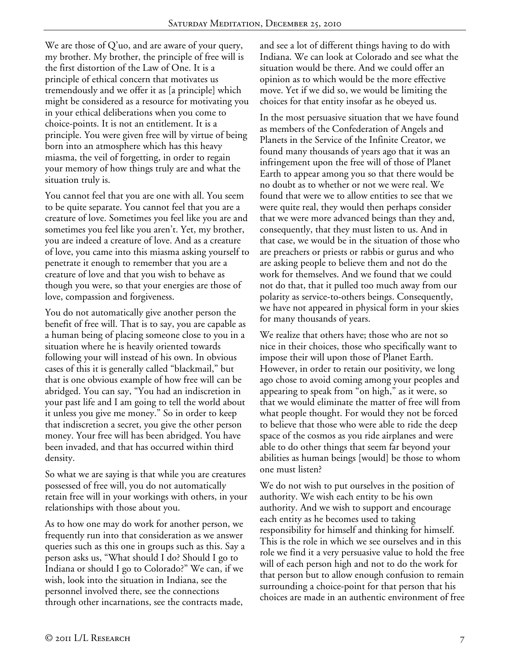We are those of  $Q'$ uo, and are aware of your query, my brother. My brother, the principle of free will is the first distortion of the Law of One. It is a principle of ethical concern that motivates us tremendously and we offer it as [a principle] which might be considered as a resource for motivating you in your ethical deliberations when you come to choice-points. It is not an entitlement. It is a principle. You were given free will by virtue of being born into an atmosphere which has this heavy miasma, the veil of forgetting, in order to regain your memory of how things truly are and what the situation truly is.

You cannot feel that you are one with all. You seem to be quite separate. You cannot feel that you are a creature of love. Sometimes you feel like you are and sometimes you feel like you aren't. Yet, my brother, you are indeed a creature of love. And as a creature of love, you came into this miasma asking yourself to penetrate it enough to remember that you are a creature of love and that you wish to behave as though you were, so that your energies are those of love, compassion and forgiveness.

You do not automatically give another person the benefit of free will. That is to say, you are capable as a human being of placing someone close to you in a situation where he is heavily oriented towards following your will instead of his own. In obvious cases of this it is generally called "blackmail," but that is one obvious example of how free will can be abridged. You can say, "You had an indiscretion in your past life and I am going to tell the world about it unless you give me money." So in order to keep that indiscretion a secret, you give the other person money. Your free will has been abridged. You have been invaded, and that has occurred within third density.

So what we are saying is that while you are creatures possessed of free will, you do not automatically retain free will in your workings with others, in your relationships with those about you.

As to how one may do work for another person, we frequently run into that consideration as we answer queries such as this one in groups such as this. Say a person asks us, "What should I do? Should I go to Indiana or should I go to Colorado?" We can, if we wish, look into the situation in Indiana, see the personnel involved there, see the connections through other incarnations, see the contracts made,

and see a lot of different things having to do with Indiana. We can look at Colorado and see what the situation would be there. And we could offer an opinion as to which would be the more effective move. Yet if we did so, we would be limiting the choices for that entity insofar as he obeyed us.

In the most persuasive situation that we have found as members of the Confederation of Angels and Planets in the Service of the Infinite Creator, we found many thousands of years ago that it was an infringement upon the free will of those of Planet Earth to appear among you so that there would be no doubt as to whether or not we were real. We found that were we to allow entities to see that we were quite real, they would then perhaps consider that we were more advanced beings than they and, consequently, that they must listen to us. And in that case, we would be in the situation of those who are preachers or priests or rabbis or gurus and who are asking people to believe them and not do the work for themselves. And we found that we could not do that, that it pulled too much away from our polarity as service-to-others beings. Consequently, we have not appeared in physical form in your skies for many thousands of years.

We realize that others have; those who are not so nice in their choices, those who specifically want to impose their will upon those of Planet Earth. However, in order to retain our positivity, we long ago chose to avoid coming among your peoples and appearing to speak from "on high," as it were, so that we would eliminate the matter of free will from what people thought. For would they not be forced to believe that those who were able to ride the deep space of the cosmos as you ride airplanes and were able to do other things that seem far beyond your abilities as human beings [would] be those to whom one must listen?

We do not wish to put ourselves in the position of authority. We wish each entity to be his own authority. And we wish to support and encourage each entity as he becomes used to taking responsibility for himself and thinking for himself. This is the role in which we see ourselves and in this role we find it a very persuasive value to hold the free will of each person high and not to do the work for that person but to allow enough confusion to remain surrounding a choice-point for that person that his choices are made in an authentic environment of free